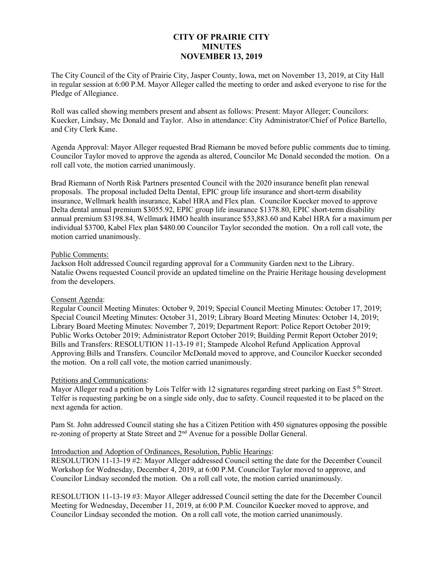# CITY OF PRAIRIE CITY **MINUTES** NOVEMBER 13, 2019

The City Council of the City of Prairie City, Jasper County, Iowa, met on November 13, 2019, at City Hall in regular session at 6:00 P.M. Mayor Alleger called the meeting to order and asked everyone to rise for the Pledge of Allegiance.

Roll was called showing members present and absent as follows: Present: Mayor Alleger; Councilors: Kuecker, Lindsay, Mc Donald and Taylor. Also in attendance: City Administrator/Chief of Police Bartello, and City Clerk Kane.

Agenda Approval: Mayor Alleger requested Brad Riemann be moved before public comments due to timing. Councilor Taylor moved to approve the agenda as altered, Councilor Mc Donald seconded the motion. On a roll call vote, the motion carried unanimously.

Brad Riemann of North Risk Partners presented Council with the 2020 insurance benefit plan renewal proposals. The proposal included Delta Dental, EPIC group life insurance and short-term disability insurance, Wellmark health insurance, Kabel HRA and Flex plan. Councilor Kuecker moved to approve Delta dental annual premium \$3055.92, EPIC group life insurance \$1378.80, EPIC short-term disability annual premium \$3198.84, Wellmark HMO health insurance \$53,883.60 and Kabel HRA for a maximum per individual \$3700, Kabel Flex plan \$480.00 Councilor Taylor seconded the motion. On a roll call vote, the motion carried unanimously.

#### Public Comments:

Jackson Holt addressed Council regarding approval for a Community Garden next to the Library. Natalie Owens requested Council provide an updated timeline on the Prairie Heritage housing development from the developers.

# Consent Agenda:

Regular Council Meeting Minutes: October 9, 2019; Special Council Meeting Minutes: October 17, 2019; Special Council Meeting Minutes: October 31, 2019; Library Board Meeting Minutes: October 14, 2019; Library Board Meeting Minutes: November 7, 2019; Department Report: Police Report October 2019; Public Works October 2019; Administrator Report October 2019; Building Permit Report October 2019; Bills and Transfers: RESOLUTION 11-13-19 #1; Stampede Alcohol Refund Application Approval Approving Bills and Transfers. Councilor McDonald moved to approve, and Councilor Kuecker seconded the motion. On a roll call vote, the motion carried unanimously.

# Petitions and Communications:

Mayor Alleger read a petition by Lois Telfer with 12 signatures regarding street parking on East  $5<sup>th</sup>$  Street. Telfer is requesting parking be on a single side only, due to safety. Council requested it to be placed on the next agenda for action.

Pam St. John addressed Council stating she has a Citizen Petition with 450 signatures opposing the possible re-zoning of property at State Street and 2nd Avenue for a possible Dollar General.

#### Introduction and Adoption of Ordinances, Resolution, Public Hearings:

RESOLUTION 11-13-19 #2: Mayor Alleger addressed Council setting the date for the December Council Workshop for Wednesday, December 4, 2019, at 6:00 P.M. Councilor Taylor moved to approve, and Councilor Lindsay seconded the motion. On a roll call vote, the motion carried unanimously.

RESOLUTION 11-13-19 #3: Mayor Alleger addressed Council setting the date for the December Council Meeting for Wednesday, December 11, 2019, at 6:00 P.M. Councilor Kuecker moved to approve, and Councilor Lindsay seconded the motion. On a roll call vote, the motion carried unanimously.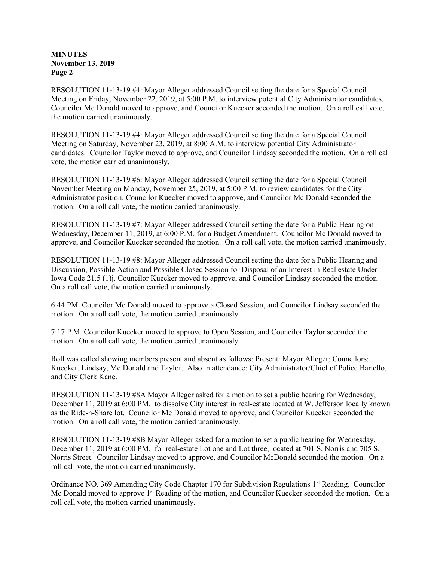**MINUTES** November 13, 2019 Page 2

RESOLUTION 11-13-19 #4: Mayor Alleger addressed Council setting the date for a Special Council Meeting on Friday, November 22, 2019, at 5:00 P.M. to interview potential City Administrator candidates. Councilor Mc Donald moved to approve, and Councilor Kuecker seconded the motion. On a roll call vote, the motion carried unanimously.

RESOLUTION 11-13-19 #4: Mayor Alleger addressed Council setting the date for a Special Council Meeting on Saturday, November 23, 2019, at 8:00 A.M. to interview potential City Administrator candidates. Councilor Taylor moved to approve, and Councilor Lindsay seconded the motion. On a roll call vote, the motion carried unanimously.

RESOLUTION 11-13-19 #6: Mayor Alleger addressed Council setting the date for a Special Council November Meeting on Monday, November 25, 2019, at 5:00 P.M. to review candidates for the City Administrator position. Councilor Kuecker moved to approve, and Councilor Mc Donald seconded the motion. On a roll call vote, the motion carried unanimously.

RESOLUTION 11-13-19 #7: Mayor Alleger addressed Council setting the date for a Public Hearing on Wednesday, December 11, 2019, at 6:00 P.M. for a Budget Amendment. Councilor Mc Donald moved to approve, and Councilor Kuecker seconded the motion. On a roll call vote, the motion carried unanimously.

RESOLUTION 11-13-19 #8: Mayor Alleger addressed Council setting the date for a Public Hearing and Discussion, Possible Action and Possible Closed Session for Disposal of an Interest in Real estate Under Iowa Code 21.5 (1)j. Councilor Kuecker moved to approve, and Councilor Lindsay seconded the motion. On a roll call vote, the motion carried unanimously.

6:44 PM. Councilor Mc Donald moved to approve a Closed Session, and Councilor Lindsay seconded the motion. On a roll call vote, the motion carried unanimously.

7:17 P.M. Councilor Kuecker moved to approve to Open Session, and Councilor Taylor seconded the motion. On a roll call vote, the motion carried unanimously.

Roll was called showing members present and absent as follows: Present: Mayor Alleger; Councilors: Kuecker, Lindsay, Mc Donald and Taylor. Also in attendance: City Administrator/Chief of Police Bartello, and City Clerk Kane.

RESOLUTION 11-13-19 #8A Mayor Alleger asked for a motion to set a public hearing for Wednesday, December 11, 2019 at 6:00 PM. to dissolve City interest in real-estate located at W. Jefferson locally known as the Ride-n-Share lot. Councilor Mc Donald moved to approve, and Councilor Kuecker seconded the motion. On a roll call vote, the motion carried unanimously.

RESOLUTION 11-13-19 #8B Mayor Alleger asked for a motion to set a public hearing for Wednesday, December 11, 2019 at 6:00 PM. for real-estate Lot one and Lot three, located at 701 S. Norris and 705 S. Norris Street. Councilor Lindsay moved to approve, and Councilor McDonald seconded the motion. On a roll call vote, the motion carried unanimously.

Ordinance NO. 369 Amending City Code Chapter 170 for Subdivision Regulations  $1<sup>st</sup>$  Reading. Councilor Mc Donald moved to approve  $1<sup>st</sup>$  Reading of the motion, and Councilor Kuecker seconded the motion. On a roll call vote, the motion carried unanimously.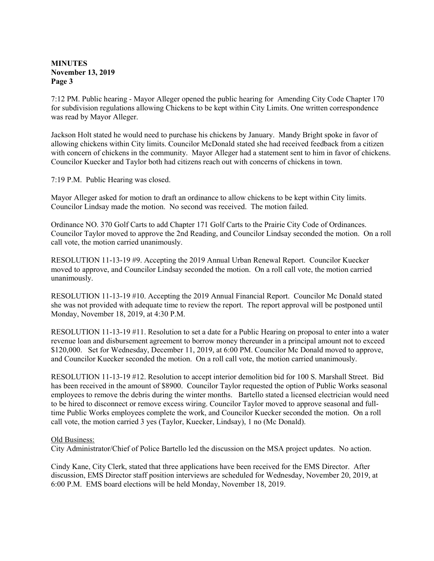# MINUTES November 13, 2019 Page 3

7:12 PM. Public hearing - Mayor Alleger opened the public hearing for Amending City Code Chapter 170 for subdivision regulations allowing Chickens to be kept within City Limits. One written correspondence was read by Mayor Alleger.

Jackson Holt stated he would need to purchase his chickens by January. Mandy Bright spoke in favor of allowing chickens within City limits. Councilor McDonald stated she had received feedback from a citizen with concern of chickens in the community. Mayor Alleger had a statement sent to him in favor of chickens. Councilor Kuecker and Taylor both had citizens reach out with concerns of chickens in town.

7:19 P.M. Public Hearing was closed.

Mayor Alleger asked for motion to draft an ordinance to allow chickens to be kept within City limits. Councilor Lindsay made the motion. No second was received. The motion failed.

Ordinance NO. 370 Golf Carts to add Chapter 171 Golf Carts to the Prairie City Code of Ordinances. Councilor Taylor moved to approve the 2nd Reading, and Councilor Lindsay seconded the motion. On a roll call vote, the motion carried unanimously.

RESOLUTION 11-13-19 #9. Accepting the 2019 Annual Urban Renewal Report. Councilor Kuecker moved to approve, and Councilor Lindsay seconded the motion. On a roll call vote, the motion carried unanimously.

RESOLUTION 11-13-19 #10. Accepting the 2019 Annual Financial Report. Councilor Mc Donald stated she was not provided with adequate time to review the report. The report approval will be postponed until Monday, November 18, 2019, at 4:30 P.M.

RESOLUTION 11-13-19 #11. Resolution to set a date for a Public Hearing on proposal to enter into a water revenue loan and disbursement agreement to borrow money thereunder in a principal amount not to exceed \$120,000. Set for Wednesday, December 11, 2019, at 6:00 PM. Councilor Mc Donald moved to approve, and Councilor Kuecker seconded the motion. On a roll call vote, the motion carried unanimously.

RESOLUTION 11-13-19 #12. Resolution to accept interior demolition bid for 100 S. Marshall Street. Bid has been received in the amount of \$8900. Councilor Taylor requested the option of Public Works seasonal employees to remove the debris during the winter months. Bartello stated a licensed electrician would need to be hired to disconnect or remove excess wiring. Councilor Taylor moved to approve seasonal and fulltime Public Works employees complete the work, and Councilor Kuecker seconded the motion. On a roll call vote, the motion carried 3 yes (Taylor, Kuecker, Lindsay), 1 no (Mc Donald).

# Old Business:

City Administrator/Chief of Police Bartello led the discussion on the MSA project updates. No action.

Cindy Kane, City Clerk, stated that three applications have been received for the EMS Director. After discussion, EMS Director staff position interviews are scheduled for Wednesday, November 20, 2019, at 6:00 P.M. EMS board elections will be held Monday, November 18, 2019.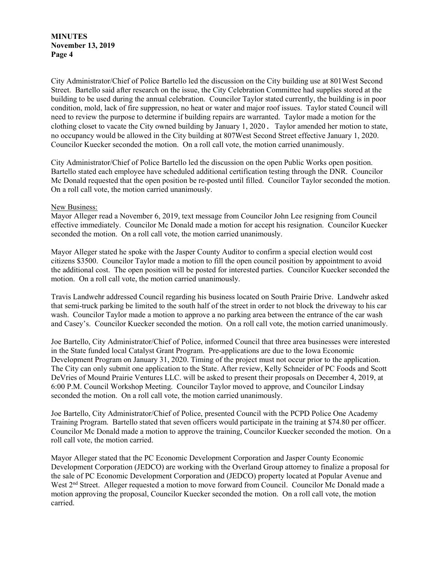MINUTES November 13, 2019 Page 4

City Administrator/Chief of Police Bartello led the discussion on the City building use at 801West Second Street. Bartello said after research on the issue, the City Celebration Committee had supplies stored at the building to be used during the annual celebration. Councilor Taylor stated currently, the building is in poor condition, mold, lack of fire suppression, no heat or water and major roof issues. Taylor stated Council will need to review the purpose to determine if building repairs are warranted. Taylor made a motion for the clothing closet to vacate the City owned building by January 1, 2020. Taylor amended her motion to state, no occupancy would be allowed in the City building at 807West Second Street effective January 1, 2020. Councilor Kuecker seconded the motion. On a roll call vote, the motion carried unanimously.

City Administrator/Chief of Police Bartello led the discussion on the open Public Works open position. Bartello stated each employee have scheduled additional certification testing through the DNR. Councilor Mc Donald requested that the open position be re-posted until filled. Councilor Taylor seconded the motion. On a roll call vote, the motion carried unanimously.

#### New Business:

Mayor Alleger read a November 6, 2019, text message from Councilor John Lee resigning from Council effective immediately. Councilor Mc Donald made a motion for accept his resignation. Councilor Kuecker seconded the motion. On a roll call vote, the motion carried unanimously.

Mayor Alleger stated he spoke with the Jasper County Auditor to confirm a special election would cost citizens \$3500. Councilor Taylor made a motion to fill the open council position by appointment to avoid the additional cost. The open position will be posted for interested parties. Councilor Kuecker seconded the motion. On a roll call vote, the motion carried unanimously.

Travis Landwehr addressed Council regarding his business located on South Prairie Drive. Landwehr asked that semi-truck parking be limited to the south half of the street in order to not block the driveway to his car wash. Councilor Taylor made a motion to approve a no parking area between the entrance of the car wash and Casey's. Councilor Kuecker seconded the motion. On a roll call vote, the motion carried unanimously.

Joe Bartello, City Administrator/Chief of Police, informed Council that three area businesses were interested in the State funded local Catalyst Grant Program. Pre-applications are due to the Iowa Economic Development Program on January 31, 2020. Timing of the project must not occur prior to the application. The City can only submit one application to the State. After review, Kelly Schneider of PC Foods and Scott DeVries of Mound Prairie Ventures LLC. will be asked to present their proposals on December 4, 2019, at 6:00 P.M. Council Workshop Meeting. Councilor Taylor moved to approve, and Councilor Lindsay seconded the motion. On a roll call vote, the motion carried unanimously.

Joe Bartello, City Administrator/Chief of Police, presented Council with the PCPD Police One Academy Training Program. Bartello stated that seven officers would participate in the training at \$74.80 per officer. Councilor Mc Donald made a motion to approve the training, Councilor Kuecker seconded the motion. On a roll call vote, the motion carried.

Mayor Alleger stated that the PC Economic Development Corporation and Jasper County Economic Development Corporation (JEDCO) are working with the Overland Group attorney to finalize a proposal for the sale of PC Economic Development Corporation and (JEDCO) property located at Popular Avenue and West 2<sup>nd</sup> Street. Alleger requested a motion to move forward from Council. Councilor Mc Donald made a motion approving the proposal, Councilor Kuecker seconded the motion. On a roll call vote, the motion carried.